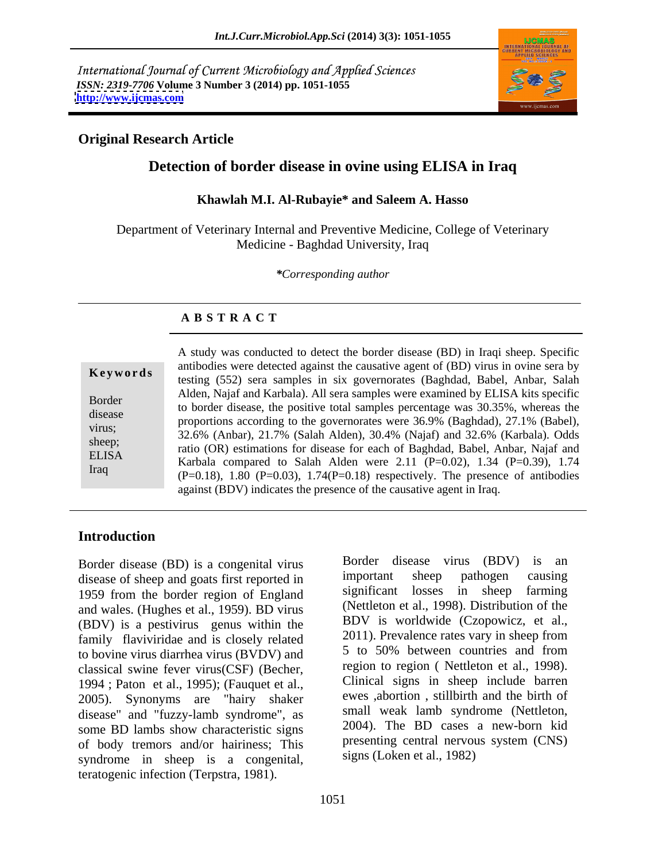International Journal of Current Microbiology and Applied Sciences *ISSN: 2319-7706* **Volume 3 Number 3 (2014) pp. 1051-1055 <http://www.ijcmas.com>**



## **Original Research Article**

# **Detection of border disease in ovine using ELISA in Iraq**

#### **Khawlah M.I. Al-Rubayie\* and Saleem A. Hasso**

Department of Veterinary Internal and Preventive Medicine, College of Veterinary Medicine - Baghdad University, Iraq

*\*Corresponding author*

## **A B S T R A C T**

**Keywords** antibodies were detected against the causalive agent of (BD) virus in ovine seta by testing (552) sera samples in six governorates (Baghdad, Babel, Anbar, Salah Border<br>to border disease, the positive total samples percentage was 30.35%, whereas the disease<br>proportions according to the governorates were 36.9% (Baghdad), 27.1% (Babel), virus;<br>  $32.6\%$  (Anbar),  $21.7\%$  (Salah Alden),  $30.4\%$  (Najaf) and  $32.6\%$  (Karbala). Odds sheep;<br>ratio (OR) estimations for disease for each of Baghdad, Babel, Anbar, Najaf and ELISA<br>
Karbala compared to Salah Alden were 2.11 (P=0.02), 1.34 (P=0.39), 1.74 Iraq<br>  $(P=0.18)$ , 1.80  $(P=0.03)$ , 1.74 $(P=0.18)$  respectively. The presence of antibodies A study was conducted to detect the border disease (BD) in Iraqi sheep. Specific antibodies were detected against the causative agent of (BD) virus in ovine sera by Alden, Najaf and Karbala). All sera samples were examined by ELISA kits specific against (BDV) indicates the presence of the causative agent in Iraq.

## **Introduction**

Border disease (BD) is a congenital virus border disease virus (BDV) is an disease of sheep and goats first reported in important sheep pathogen causing disease of sheep and goats first reported in 1959 from the border region of England and wales. (Hughes et al., 1959). BD virus (BDV) is a pestivirus genus within the  $\frac{BDV}{2011}$  is worldwide (Czopowicz, et al., family flaviviridae and is closely related  $\frac{2011}{2011}$ . Prevalence rates vary in sheep from family flaviviridae and is closely related  $\frac{2011}{5}$ . Prevalence rates vary in sheep from<br>to boyine virus diarrhea virus (BVDV) and  $\frac{5 \text{ to } 50\% \text{ between countries and from}}{50\% \text{ between countries}}$ to bovine virus diarrhea virus (BVDV) and classical swine fever virus(CSF) (Becher, 1994 ; Paton et al., 1995); (Fauquet et al., 2005). Synonyms are "hairy shaker disease" and "fuzzy-lamb syndrome", as some BD lambs show characteristic signs of body tremors and/or hairiness; This syndrome in sheep is a congenital, teratogenic infection (Terpstra, 1981).

Border disease virus (BDV) is an important sheep pathogen causing significant losses in sheep farming (Nettleton et al., 1998). Distribution of the BDV is worldwide (Czopowicz, et al., 2011). Prevalence rates vary in sheep from 5 to 50% between countries and from region to region ( Nettleton et al., 1998). Clinical signs in sheep include barren ewes ,abortion , stillbirth and the birth of small weak lamb syndrome (Nettleton, 2004). The BD cases a new-born kid presenting central nervous system (CNS) signs (Loken et al., 1982)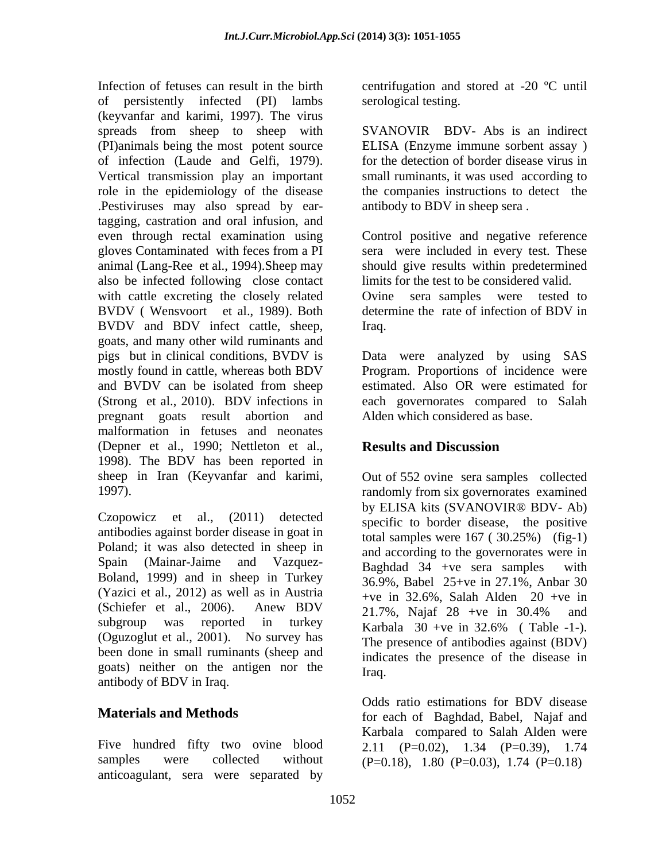Infection of fetuses can result in the birth centrifugation and stored at -20 °C until of persistently infected (PI) lambs (keyvanfar and karimi, 1997). The virus spreads from sheep to sheep with (PI)animals being the most potent source ELISA (Enzyme immune sorbent assay ) of infection (Laude and Gelfi, 1979). Vertical transmission play an important role in the epidemiology of the disease the companies instructions to detect the .Pestiviruses may also spread by eartagging, castration and oral infusion, and even through rectal examination using Control positive and negative reference gloves Contaminated with feces from a PI sera were included in every test. These animal (Lang-Ree et al., 1994).Sheep may should give results within predetermined also be infected following close contact with cattle excreting the closely related BVDV ( Wensvoort et al., 1989). Both determine the rate of infection of BDV in BVDV and BDV infect cattle, sheep, Iraq. goats, and many other wild ruminants and pigs but in clinical conditions, BVDV is Data were analyzed by using SAS mostly found in cattle, whereas both BDV Program. Proportions of incidence were and BVDV can be isolated from sheep estimated. Also OR were estimated for (Strong et al., 2010). BDV infections in each governorates compared to Salah pregnant goats result abortion and malformation in fetuses and neonates (Depner et al., 1990; Nettleton et al., Results and Discussion 1998). The BDV has been reported in sheep in Iran (Keyvanfar and karimi,

Czopowicz et al., (2011) detected antibodies against border disease in goat in Poland; it was also detected in sheep in Spain (Mainar-Jaime and Vazquez-<br>Baghdad 34 +ve sera samples with<br> $\frac{1}{26.0\%}$  Boland, 1999) and in sheep in Turkey<br> $\frac{26.0\%}{26.0\%}$  Bobal  $\frac{25 + ye}{25 + ye}$  in  $\frac{27.1\%}{25.0\%}$  Apper 30 (Yazici et al., 2012) as well as in Austria (Schleter et al., 2006). Ahew  $BDV$  21.7%, Najaf 28 +ve in 30.4% and subgroup was reported in turkey Karbala 30 +ve in 32.6% (Table -1-). (Oguzoglut et al., 2001). No survey has been done in small ruminants (sheep and goats) neither on the antigen nor the Iraq. antibody of BDV in Iraq.

Five hundred fifty two ovine blood  $2.11$   $(P=0.02)$ ,  $1.34$   $(P=0.39)$ ,  $1.74$ samples were collected without  $(P=0.18)$ , 1.80  $(P=0.03)$ , 1.74  $(P=0.18)$ anticoagulant, sera were separated by

serological testing.

SVANOVIR BDV- Abs is an indirect for the detection of border disease virus in small ruminants, it was used according to antibody to BDV in sheep sera .

limits for the test to be considered valid. Ovine sera samples were tested to Iraq.

Alden which considered as base.

## **Results and Discussion**

1997) randomly from six governorates examined  $\frac{1}{2}$  Spain (Mainar-Jaime and Vazquez-<br>Bachdad  $\frac{34}{2}$  +ve sera samples with (Schiefer et al., 2006). Anew BDV  $21.7\%$  Najaf  $28 + v$ e in 30.4% and Out of 552 ovine sera samples collected by ELISA kits (SVANOVIR® BDV- Ab) specific to border disease, the positive total samples were 167 ( 30.25%) (fig-1) and according to the governorates were in Baghdad  $34 +ve$  sera samples 36.9%, Babel 25+ve in 27.1%, Anbar 30 +ve in 32.6%, Salah Alden  $20$  +ve in 21.7%, Najaf 28 +ve in 30.4% and Karbala 30 +ve in 32.6% ( Table -1-). The presence of antibodies against (BDV) indicates the presence of the disease in Iraq.

**Materials and Methods** for each of Baghdad, Babel, Najaf and Odds ratio estimations for BDV disease Karbala compared to Salah Alden were 2.11  $(P=0.02)$ , 1.34  $(P=0.39)$ ,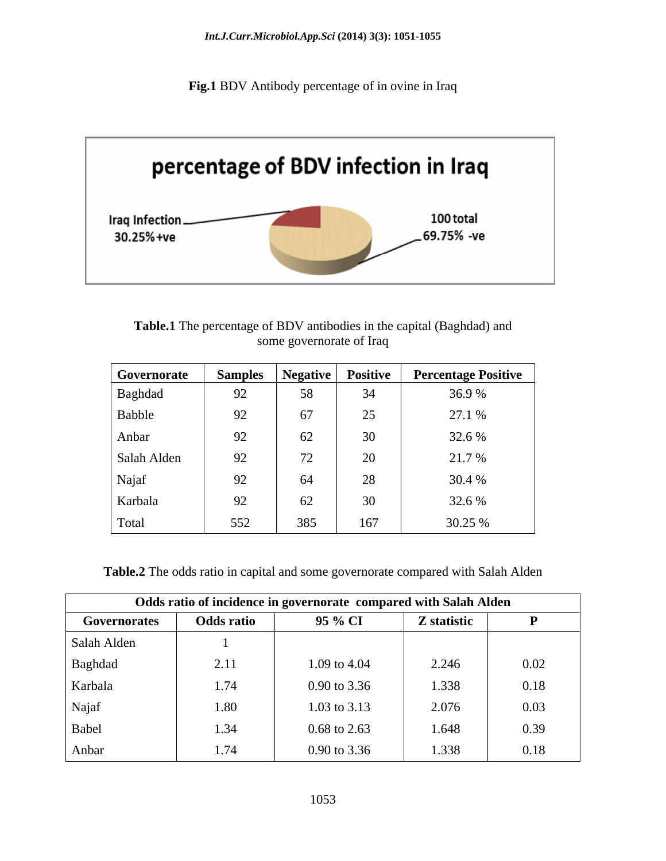**Fig.1** BDV Antibody percentage of in ovine in Iraq



**Table.1** The percentage of BDV antibodies in the capital (Baghdad) and some governorate of Iraq

| Governorate | <b>Samples</b> |      |                            | Negative Positive Percentage Positive |
|-------------|----------------|------|----------------------------|---------------------------------------|
| Baghdad     | 92             | - 58 | $J_{\rm T}$                | 36.9%                                 |
| Babble      | 92             | 67   | $\cap \subset$<br>$\Delta$ | 27.1 %                                |
| Anbar       | 92             | 62   | 30                         | 32.6 %                                |
| Salah Alden | 92             |      | $\Delta$<br>$\angle U$     | 21.7 %                                |
| Najaf       | 92             | 64   | $\gamma$<br>$\angle$ 0     | 30.4 %                                |
| Karbala     | 92             | 62   | 30                         | 32.6 %                                |
| Total       | 552            | 385  | 167                        | 30.25 %                               |

**Table.2** The odds ratio in capital and some governorate compared with Salah Alden

| Odds ratio of incidence in governorate compared with Salah Alden |                   |                         |             |      |  |  |
|------------------------------------------------------------------|-------------------|-------------------------|-------------|------|--|--|
| Governorates                                                     | <b>Odds ratio</b> | 95 % CI                 | Z statistic |      |  |  |
| Salah Alden                                                      |                   |                         |             |      |  |  |
| Baghdad                                                          | 2.11              | 1.09 to 4.04            | 2.246       | 0.02 |  |  |
| Karbala                                                          | 1.74              | 0.90 to 3.36            | 1.338       | 0.18 |  |  |
| Najaf                                                            | 1.80              | 1.03 to 3.13            | 2.076       | 0.03 |  |  |
| Babel                                                            | 1.34              | $0.68$ to 2.63          | 1.648       | 0.39 |  |  |
| Anbar                                                            | 1.74              | $0.90 \text{ to } 3.36$ | 1.338       | 0.18 |  |  |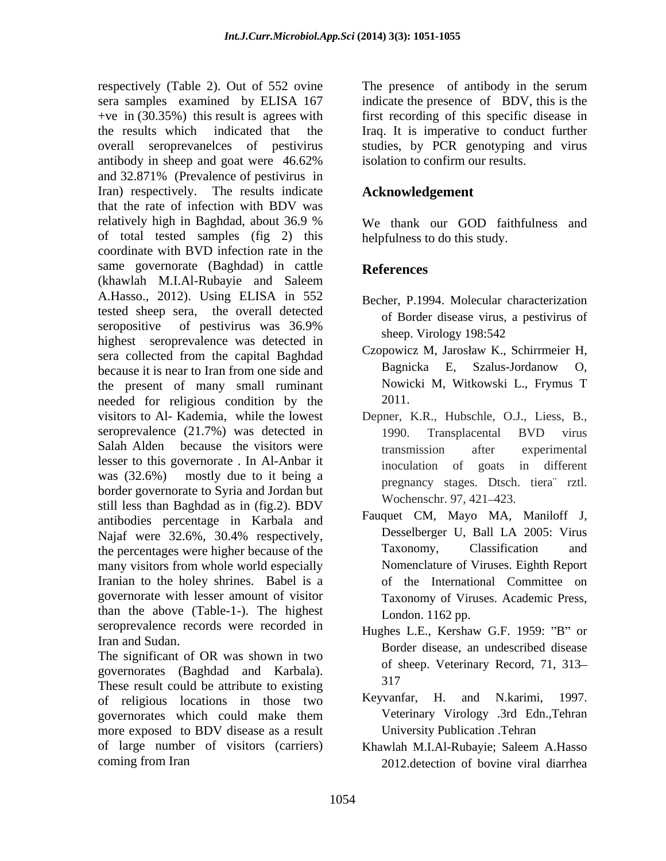respectively (Table 2). Out of 552 ovine The presence of antibody in the serum sera samples examined by ELISA 167 indicate the presence of BDV, this is the +ve in (30.35%) this result is agrees with first recording of this specific disease in the results which indicated that the Iraq. It is imperative to conduct further overall seroprevanelces of pestivirus studies, by PCR genotyping and virus antibody in sheep and goat were 46.62% and 32.871% (Prevalence of pestivirus in Iran) respectively. The results indicate that the rate of infection with BDV was relatively high in Baghdad, about 36.9 % of total tested samples (fig 2) this coordinate with BVD infection rate in the same governorate (Baghdad) in cattle References (khawlah M.I.Al-Rubayie and Saleem A.Hasso., 2012). Using ELISA in 552 tested sheep sera, the overall detected seropositive of pestivirus was  $36.9\%$  share  $N_{\text{inclsw}}$   $100.542$ seropositive of pestivities was 50.5% sheep. Virology 198:542 sera collected from the capital Baghdad because it is near to Iran from one side and Bagnicka E, Szalus-Jordanow O, the present of many small ruminant needed for religious condition by the 2011. visitors to Al- Kademia, while the lowest Depner, K.R., Hubschle, O.J., Liess, B., seroprevalence (21.7%) was detected in 1990. Transplacental BVD virus Salah Alden because the visitors were transmission after experimental lesser to this governorate . In Al-Anbar it was  $(32.6%)$  mostly due to it being a means a series of the series with border governorate to Syria and Jordan but still less than Baghdad as in (fig.2). BDV antibodies percentage in Karbala and Najaf were 32.6%, 30.4% respectively, Desselberger U, Ball LA 2005: Virus the percentages were higher because of the Taxonomy, Classification and many visitors from whole world especially Iranian to the holey shrines. Babel is a governorate with lesser amount of visitor than the above (Table-1-). The highest seroprevalence records were recorded in

The significant of OR was shown in two governorates (Baghdad and Karbala). <sup>01 s</sup><br>These result available ethnikute to spinting 317 These result could be attribute to existing<br>of religious locations in those two Keyvanfar, H. and N.karimi, 1997. of religious locations in those two governorates which could make them more exposed to BDV disease as a result of large number of visitors (carriers)

isolation to confirm our results.

#### **Acknowledgement**

We thank our GOD faithfulness and helpfulness to do this study.

## **References**

- Becher, P.1994. Molecular characterization of Border disease virus, a pestivirus of sheep. Virology 198:542
- Czopowicz M, Jarosław K., Schirrmeier H, Bagnicka E, Szalus-Jordanow O, Nowicki M, Witkowski L., Frymus T 2011.
- 1990. Transplacental BVD virus transmission after experimental inoculation of goats in different pregnancy stages. Dtsch. tiera¨ rztl. Wochenschr. 97, 421-423.
- Fauquet CM, Mayo MA, Maniloff J, Desselberger U, Ball LA 2005: Virus Taxonomy, Classification and Nomenclature of Viruses. Eighth Report of the International Committee on Taxonomy of Viruses. Academic Press, London. 1162 pp.
- Iran and Sudan.<br>
Border disease, an undescribed disease Hughes L.E., Kershaw G.F. 1959: "B" or of sheep. Veterinary Record, 71, 313 317
	- Keyvanfar, H. and N.karimi, 1997. Veterinary Virology .3rd Edn.,Tehran University Publication .Tehran
- coming from Iran 2012.detection of bovine viral diarrheaKhawlah M.I.Al-Rubayie; Saleem A.Hasso